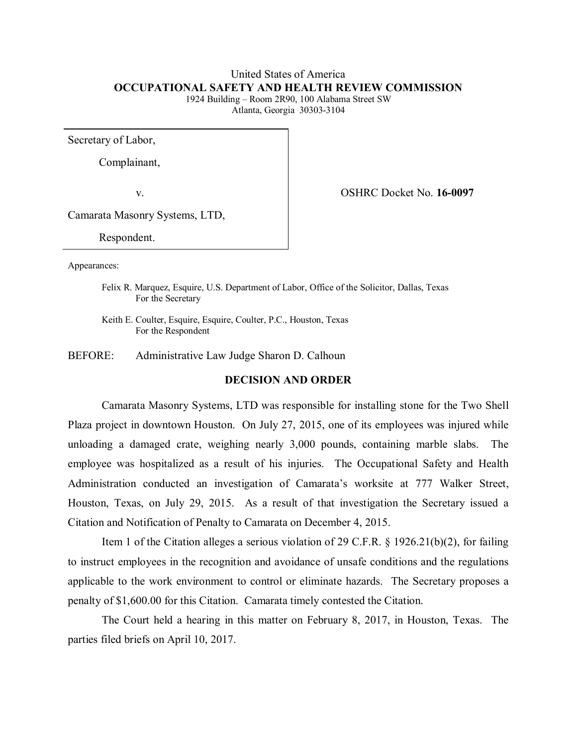# United States of America **OCCUPATIONAL SAFETY AND HEALTH REVIEW COMMISSION**

1924 Building – Room 2R90, 100 Alabama Street SW Atlanta, Georgia 30303-3104

Secretary of Labor,

Complainant,

v. OSHRC Docket No. **16-0097**

Camarata Masonry Systems, LTD,

Respondent.

Appearances:

Felix R. Marquez, Esquire, U.S. Department of Labor, Office of the Solicitor, Dallas, Texas For the Secretary

Keith E. Coulter, Esquire, Esquire, Coulter, P.C., Houston, Texas For the Respondent

BEFORE: Administrative Law Judge Sharon D. Calhoun

# **DECISION AND ORDER**

Camarata Masonry Systems, LTD was responsible for installing stone for the Two Shell Plaza project in downtown Houston. On July 27, 2015, one of its employees was injured while unloading a damaged crate, weighing nearly 3,000 pounds, containing marble slabs. The employee was hospitalized as a result of his injuries. The Occupational Safety and Health Administration conducted an investigation of Camarata's worksite at 777 Walker Street, Houston, Texas, on July 29, 2015. As a result of that investigation the Secretary issued a Citation and Notification of Penalty to Camarata on December 4, 2015.

Item 1 of the Citation alleges a serious violation of 29 C.F.R. § 1926.21(b)(2), for failing to instruct employees in the recognition and avoidance of unsafe conditions and the regulations applicable to the work environment to control or eliminate hazards. The Secretary proposes a penalty of \$1,600.00 for this Citation. Camarata timely contested the Citation.

The Court held a hearing in this matter on February 8, 2017, in Houston, Texas. The parties filed briefs on April 10, 2017.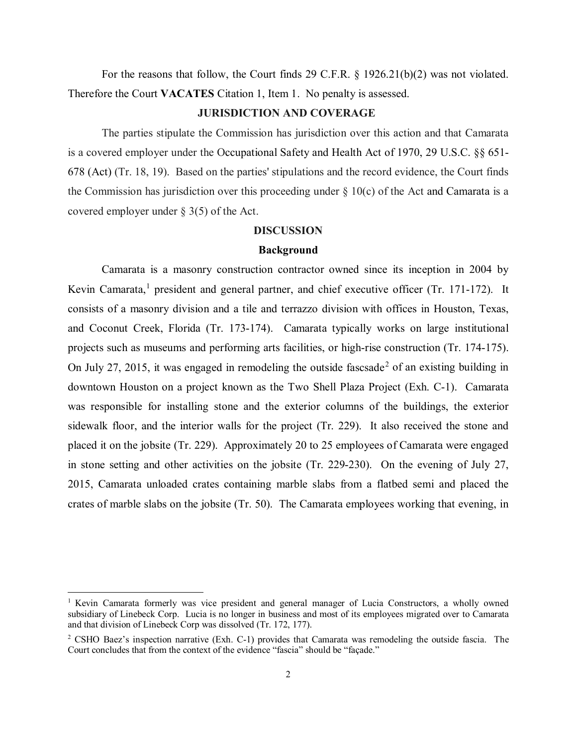For the reasons that follow, the Court finds 29 C.F.R. § 1926.21(b)(2) was not violated. Therefore the Court **VACATES** Citation 1, Item 1. No penalty is assessed.

### **JURISDICTION AND COVERAGE**

The parties stipulate the Commission has jurisdiction over this action and that Camarata is a covered employer under the Occupational Safety and Health Act of 1970, 29 U.S.C. §§ 651- 678 (Act) (Tr. 18, 19). Based on the parties' stipulations and the record evidence, the Court finds the Commission has jurisdiction over this proceeding under  $\S$  10(c) of the Act and Camarata is a covered employer under § 3(5) of the Act.

#### **DISCUSSION**

### **Background**

Camarata is a masonry construction contractor owned since its inception in 2004 by Kevin Camarata,<sup>[1](#page-1-0)</sup> president and general partner, and chief executive officer (Tr. 171-172). It consists of a masonry division and a tile and terrazzo division with offices in Houston, Texas, and Coconut Creek, Florida (Tr. 173-174). Camarata typically works on large institutional projects such as museums and performing arts facilities, or high-rise construction (Tr. 174-175). On July [2](#page-1-1)7, 2015, it was engaged in remodeling the outside fascsade<sup>2</sup> of an existing building in downtown Houston on a project known as the Two Shell Plaza Project (Exh. C-1). Camarata was responsible for installing stone and the exterior columns of the buildings, the exterior sidewalk floor, and the interior walls for the project (Tr. 229). It also received the stone and placed it on the jobsite (Tr. 229). Approximately 20 to 25 employees of Camarata were engaged in stone setting and other activities on the jobsite (Tr. 229-230). On the evening of July 27, 2015, Camarata unloaded crates containing marble slabs from a flatbed semi and placed the crates of marble slabs on the jobsite (Tr. 50). The Camarata employees working that evening, in

<span id="page-1-0"></span><sup>&</sup>lt;sup>1</sup> Kevin Camarata formerly was vice president and general manager of Lucia Constructors, a wholly owned subsidiary of Linebeck Corp. Lucia is no longer in business and most of its employees migrated over to Camarata and that division of Linebeck Corp was dissolved (Tr. 172, 177).

<span id="page-1-1"></span><sup>&</sup>lt;sup>2</sup> CSHO Baez's inspection narrative (Exh. C-1) provides that Camarata was remodeling the outside fascia. The Court concludes that from the context of the evidence "fascia" should be "façade."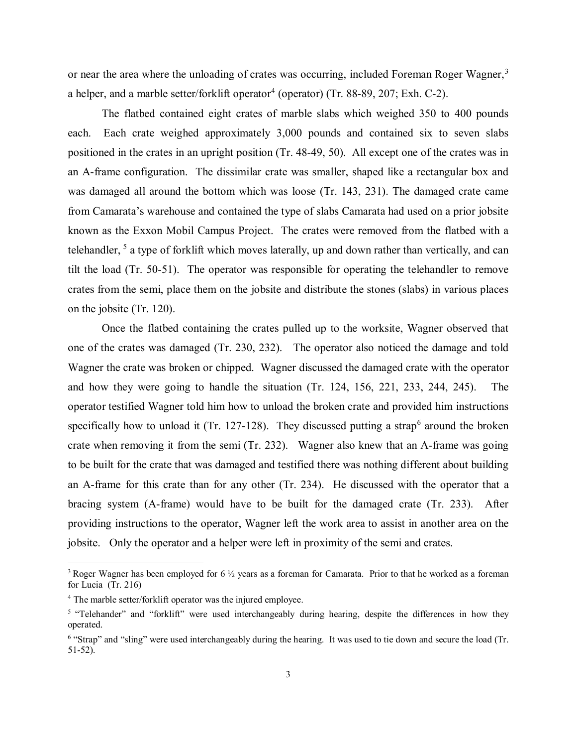or near the area where the unloading of crates was occurring, included Foreman Roger Wagner,<sup>[3](#page-2-0)</sup> a helper, and a marble setter/forklift operator<sup>[4](#page-2-1)</sup> (operator) (Tr. 88-89, 207; Exh. C-2).

The flatbed contained eight crates of marble slabs which weighed 350 to 400 pounds each. Each crate weighed approximately 3,000 pounds and contained six to seven slabs positioned in the crates in an upright position (Tr. 48-49, 50). All except one of the crates was in an A-frame configuration. The dissimilar crate was smaller, shaped like a rectangular box and was damaged all around the bottom which was loose (Tr. 143, 231). The damaged crate came from Camarata's warehouse and contained the type of slabs Camarata had used on a prior jobsite known as the Exxon Mobil Campus Project. The crates were removed from the flatbed with a telehandler, <sup>[5](#page-2-2)</sup> a type of forklift which moves laterally, up and down rather than vertically, and can tilt the load (Tr. 50-51). The operator was responsible for operating the telehandler to remove crates from the semi, place them on the jobsite and distribute the stones (slabs) in various places on the jobsite (Tr. 120).

Once the flatbed containing the crates pulled up to the worksite, Wagner observed that one of the crates was damaged (Tr. 230, 232). The operator also noticed the damage and told Wagner the crate was broken or chipped. Wagner discussed the damaged crate with the operator and how they were going to handle the situation (Tr. 124, 156, 221, 233, 244, 245). The operator testified Wagner told him how to unload the broken crate and provided him instructions specifically how to unload it (Tr. 127-128). They discussed putting a strap<sup>[6](#page-2-3)</sup> around the broken crate when removing it from the semi (Tr. 232). Wagner also knew that an A-frame was going to be built for the crate that was damaged and testified there was nothing different about building an A-frame for this crate than for any other (Tr. 234). He discussed with the operator that a bracing system (A-frame) would have to be built for the damaged crate (Tr. 233). After providing instructions to the operator, Wagner left the work area to assist in another area on the jobsite. Only the operator and a helper were left in proximity of the semi and crates.

<span id="page-2-0"></span><sup>&</sup>lt;sup>3</sup> Roger Wagner has been employed for 6 <sup>1</sup>/<sub>2</sub> years as a foreman for Camarata. Prior to that he worked as a foreman for Lucia (Tr. 216)

<span id="page-2-1"></span><sup>4</sup> The marble setter/forklift operator was the injured employee.

<span id="page-2-2"></span><sup>&</sup>lt;sup>5</sup> "Telehander" and "forklift" were used interchangeably during hearing, despite the differences in how they operated.

<span id="page-2-3"></span><sup>6</sup> "Strap" and "sling" were used interchangeably during the hearing. It was used to tie down and secure the load (Tr. 51-52).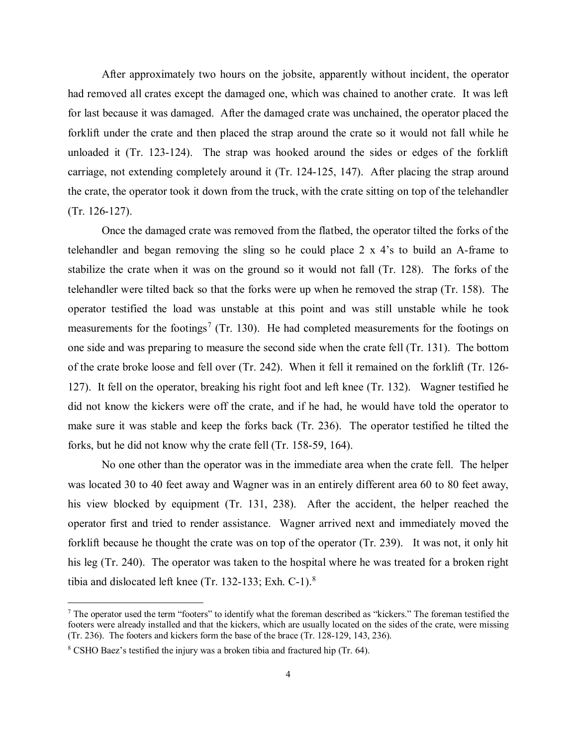After approximately two hours on the jobsite, apparently without incident, the operator had removed all crates except the damaged one, which was chained to another crate. It was left for last because it was damaged. After the damaged crate was unchained, the operator placed the forklift under the crate and then placed the strap around the crate so it would not fall while he unloaded it (Tr. 123-124). The strap was hooked around the sides or edges of the forklift carriage, not extending completely around it (Tr. 124-125, 147). After placing the strap around the crate, the operator took it down from the truck, with the crate sitting on top of the telehandler (Tr. 126-127).

Once the damaged crate was removed from the flatbed, the operator tilted the forks of the telehandler and began removing the sling so he could place  $2 \times 4$ 's to build an A-frame to stabilize the crate when it was on the ground so it would not fall (Tr. 128). The forks of the telehandler were tilted back so that the forks were up when he removed the strap (Tr. 158). The operator testified the load was unstable at this point and was still unstable while he took measurements for the footings<sup>[7](#page-3-0)</sup> (Tr. 130). He had completed measurements for the footings on one side and was preparing to measure the second side when the crate fell (Tr. 131). The bottom of the crate broke loose and fell over (Tr. 242). When it fell it remained on the forklift (Tr. 126- 127). It fell on the operator, breaking his right foot and left knee (Tr. 132). Wagner testified he did not know the kickers were off the crate, and if he had, he would have told the operator to make sure it was stable and keep the forks back (Tr. 236). The operator testified he tilted the forks, but he did not know why the crate fell (Tr. 158-59, 164).

No one other than the operator was in the immediate area when the crate fell. The helper was located 30 to 40 feet away and Wagner was in an entirely different area 60 to 80 feet away, his view blocked by equipment (Tr. 131, 238). After the accident, the helper reached the operator first and tried to render assistance. Wagner arrived next and immediately moved the forklift because he thought the crate was on top of the operator (Tr. 239). It was not, it only hit his leg (Tr. 240). The operator was taken to the hospital where he was treated for a broken right tibia and dislocated left knee (Tr. 132-133; Exh. C-1). $8$ 

<span id="page-3-0"></span> $^7$  The operator used the term "footers" to identify what the foreman described as "kickers." The foreman testified the footers were already installed and that the kickers, which are usually located on the sides of the crate, were missing (Tr. 236). The footers and kickers form the base of the brace (Tr. 128-129, 143, 236).

<span id="page-3-1"></span><sup>8</sup> CSHO Baez's testified the injury was a broken tibia and fractured hip (Tr. 64).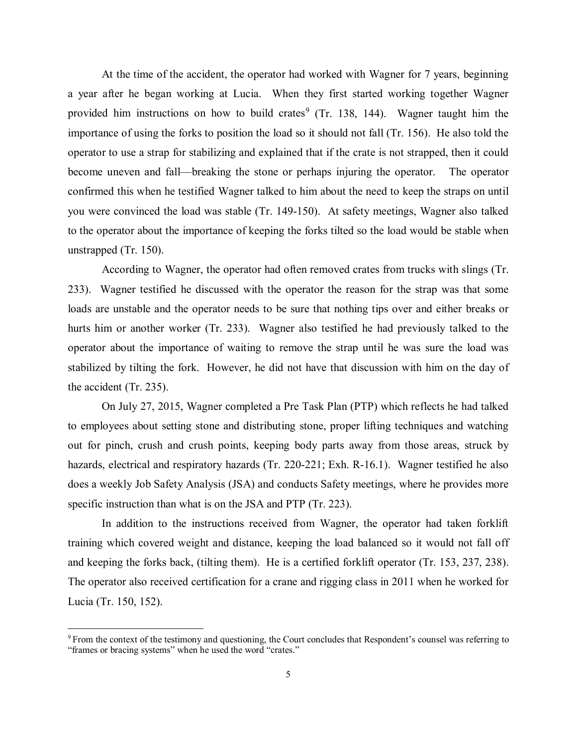At the time of the accident, the operator had worked with Wagner for 7 years, beginning a year after he began working at Lucia. When they first started working together Wagner provided him instructions on how to build crates<sup>[9](#page-4-0)</sup> (Tr. 138, 144). Wagner taught him the importance of using the forks to position the load so it should not fall (Tr. 156). He also told the operator to use a strap for stabilizing and explained that if the crate is not strapped, then it could become uneven and fall—breaking the stone or perhaps injuring the operator. The operator confirmed this when he testified Wagner talked to him about the need to keep the straps on until you were convinced the load was stable (Tr. 149-150). At safety meetings, Wagner also talked to the operator about the importance of keeping the forks tilted so the load would be stable when unstrapped (Tr. 150).

According to Wagner, the operator had often removed crates from trucks with slings (Tr. 233). Wagner testified he discussed with the operator the reason for the strap was that some loads are unstable and the operator needs to be sure that nothing tips over and either breaks or hurts him or another worker (Tr. 233). Wagner also testified he had previously talked to the operator about the importance of waiting to remove the strap until he was sure the load was stabilized by tilting the fork. However, he did not have that discussion with him on the day of the accident (Tr. 235).

On July 27, 2015, Wagner completed a Pre Task Plan (PTP) which reflects he had talked to employees about setting stone and distributing stone, proper lifting techniques and watching out for pinch, crush and crush points, keeping body parts away from those areas, struck by hazards, electrical and respiratory hazards (Tr. 220-221; Exh. R-16.1). Wagner testified he also does a weekly Job Safety Analysis (JSA) and conducts Safety meetings, where he provides more specific instruction than what is on the JSA and PTP (Tr. 223).

In addition to the instructions received from Wagner, the operator had taken forklift training which covered weight and distance, keeping the load balanced so it would not fall off and keeping the forks back, (tilting them). He is a certified forklift operator (Tr. 153, 237, 238). The operator also received certification for a crane and rigging class in 2011 when he worked for Lucia (Tr. 150, 152).

<span id="page-4-0"></span> $9$  From the context of the testimony and questioning, the Court concludes that Respondent's counsel was referring to "frames or bracing systems" when he used the word "crates."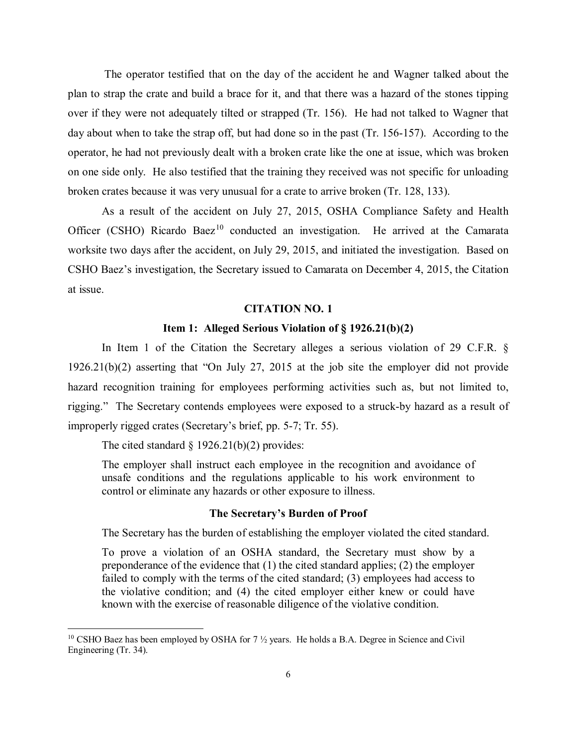The operator testified that on the day of the accident he and Wagner talked about the plan to strap the crate and build a brace for it, and that there was a hazard of the stones tipping over if they were not adequately tilted or strapped (Tr. 156). He had not talked to Wagner that day about when to take the strap off, but had done so in the past (Tr. 156-157). According to the operator, he had not previously dealt with a broken crate like the one at issue, which was broken on one side only. He also testified that the training they received was not specific for unloading broken crates because it was very unusual for a crate to arrive broken (Tr. 128, 133).

As a result of the accident on July 27, 2015, OSHA Compliance Safety and Health Officer (CSHO) Ricardo Baez<sup>[10](#page-5-0)</sup> conducted an investigation. He arrived at the Camarata worksite two days after the accident, on July 29, 2015, and initiated the investigation. Based on CSHO Baez's investigation, the Secretary issued to Camarata on December 4, 2015, the Citation at issue.

#### **CITATION NO. 1**

### **Item 1: Alleged Serious Violation of § 1926.21(b)(2)**

In Item 1 of the Citation the Secretary alleges a serious violation of 29 C.F.R. § 1926.21(b)(2) asserting that "On July 27, 2015 at the job site the employer did not provide hazard recognition training for employees performing activities such as, but not limited to, rigging." The Secretary contends employees were exposed to a struck-by hazard as a result of improperly rigged crates (Secretary's brief, pp. 5-7; Tr. 55).

The cited standard  $\S 1926.21(b)(2)$  provides:

 $\overline{a}$ 

The employer shall instruct each employee in the recognition and avoidance of unsafe conditions and the regulations applicable to his work environment to control or eliminate any hazards or other exposure to illness.

### **The Secretary's Burden of Proof**

The Secretary has the burden of establishing the employer violated the cited standard.

To prove a violation of an OSHA standard, the Secretary must show by a preponderance of the evidence that (1) the cited standard applies; (2) the employer failed to comply with the terms of the cited standard; (3) employees had access to the violative condition; and (4) the cited employer either knew or could have known with the exercise of reasonable diligence of the violative condition.

<span id="page-5-0"></span><sup>&</sup>lt;sup>10</sup> CSHO Baez has been employed by OSHA for  $7\frac{1}{2}$  years. He holds a B.A. Degree in Science and Civil Engineering (Tr. 34).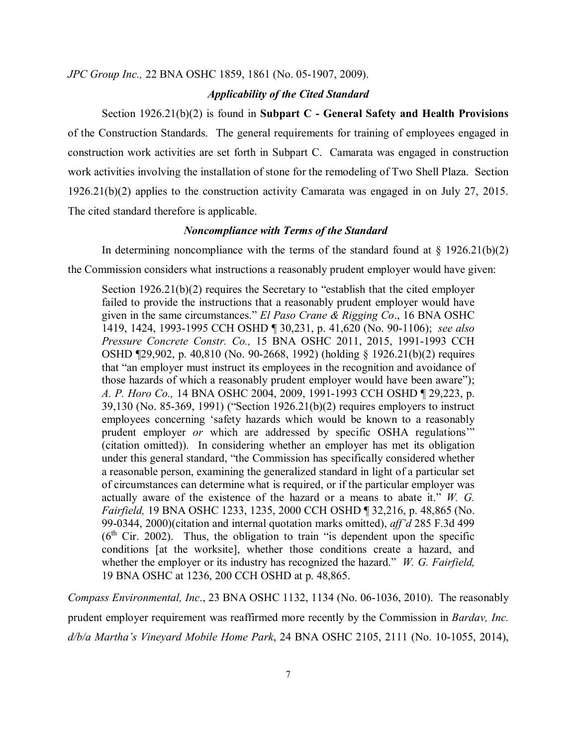*JPC Group Inc.,* 22 BNA OSHC 1859, 1861 (No. 05-1907, 2009).

### *Applicability of the Cited Standard*

Section 1926.21(b)(2) is found in **Subpart C - General Safety and Health Provisions** of the Construction Standards. The general requirements for training of employees engaged in construction work activities are set forth in Subpart C. Camarata was engaged in construction work activities involving the installation of stone for the remodeling of Two Shell Plaza. Section 1926.21(b)(2) applies to the construction activity Camarata was engaged in on July 27, 2015. The cited standard therefore is applicable.

#### *Noncompliance with Terms of the Standard*

In determining noncompliance with the terms of the standard found at  $\S$  1926.21(b)(2) the Commission considers what instructions a reasonably prudent employer would have given:

Section 1926.21(b)(2) requires the Secretary to "establish that the cited employer failed to provide the instructions that a reasonably prudent employer would have given in the same circumstances." *El Paso Crane & Rigging Co*., 16 BNA OSHC 1419, 1424, 1993-1995 CCH OSHD ¶ 30,231, p. 41,620 (No. 90-1106); *see also Pressure Concrete Constr. Co.,* 15 BNA OSHC 2011, 2015, 1991-1993 CCH OSHD ¶29,902, p. 40,810 (No. 90-2668, 1992) (holding § 1926.21(b)(2) requires that "an employer must instruct its employees in the recognition and avoidance of those hazards of which a reasonably prudent employer would have been aware"); *A. P. Horo Co.,* 14 BNA OSHC 2004, 2009, 1991-1993 CCH OSHD ¶ 29,223, p. 39,130 (No. 85-369, 1991) ("Section 1926.21(b)(2) requires employers to instruct employees concerning 'safety hazards which would be known to a reasonably prudent employer *or* which are addressed by specific OSHA regulations'" (citation omitted)). In considering whether an employer has met its obligation under this general standard, "the Commission has specifically considered whether a reasonable person, examining the generalized standard in light of a particular set of circumstances can determine what is required, or if the particular employer was actually aware of the existence of the hazard or a means to abate it." *W. G. Fairfield,* 19 BNA OSHC 1233, 1235, 2000 CCH OSHD ¶ 32,216, p. 48,865 (No. 99-0344, 2000)(citation and internal quotation marks omitted), *aff'd* 285 F.3d 499  $(6<sup>th</sup> Cir. 2002)$ . Thus, the obligation to train "is dependent upon the specific conditions [at the worksite], whether those conditions create a hazard, and whether the employer or its industry has recognized the hazard." *W. G. Fairfield,*  19 BNA OSHC at 1236, 200 CCH OSHD at p. 48,865.

*Compass Environmental, Inc*., 23 BNA OSHC 1132, 1134 (No. 06-1036, 2010). The reasonably prudent employer requirement was reaffirmed more recently by the Commission in *Bardav, Inc. d/b/a Martha's Vineyard Mobile Home Park*, 24 BNA OSHC 2105, 2111 (No. 10-1055, 2014),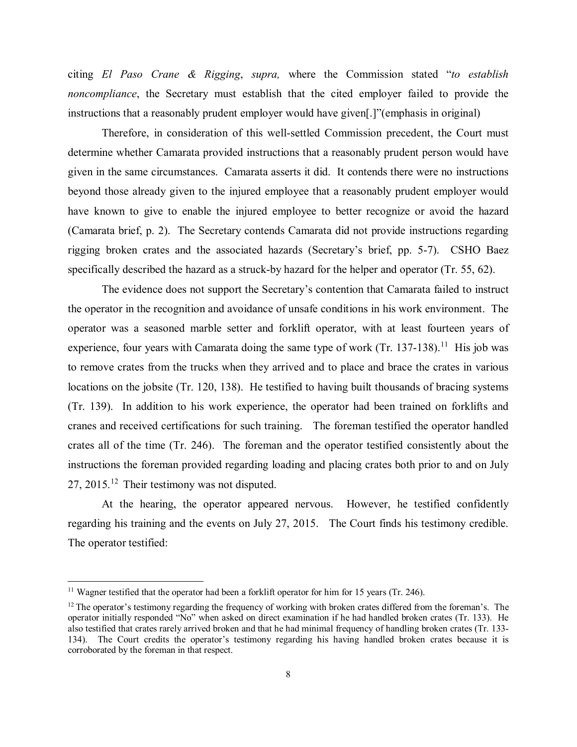citing *El Paso Crane & Rigging*, *supra,* where the Commission stated "*to establish noncompliance*, the Secretary must establish that the cited employer failed to provide the instructions that a reasonably prudent employer would have given[.]"(emphasis in original)

Therefore, in consideration of this well-settled Commission precedent, the Court must determine whether Camarata provided instructions that a reasonably prudent person would have given in the same circumstances. Camarata asserts it did. It contends there were no instructions beyond those already given to the injured employee that a reasonably prudent employer would have known to give to enable the injured employee to better recognize or avoid the hazard (Camarata brief, p. 2). The Secretary contends Camarata did not provide instructions regarding rigging broken crates and the associated hazards (Secretary's brief, pp. 5-7). CSHO Baez specifically described the hazard as a struck-by hazard for the helper and operator (Tr. 55, 62).

The evidence does not support the Secretary's contention that Camarata failed to instruct the operator in the recognition and avoidance of unsafe conditions in his work environment. The operator was a seasoned marble setter and forklift operator, with at least fourteen years of experience, four years with Camarata doing the same type of work (Tr. 137-138).<sup>11</sup> His job was to remove crates from the trucks when they arrived and to place and brace the crates in various locations on the jobsite (Tr. 120, 138). He testified to having built thousands of bracing systems (Tr. 139). In addition to his work experience, the operator had been trained on forklifts and cranes and received certifications for such training. The foreman testified the operator handled crates all of the time (Tr. 246). The foreman and the operator testified consistently about the instructions the foreman provided regarding loading and placing crates both prior to and on July 27, 2015.[12](#page-7-1) Their testimony was not disputed.

At the hearing, the operator appeared nervous. However, he testified confidently regarding his training and the events on July 27, 2015. The Court finds his testimony credible. The operator testified:

<span id="page-7-0"></span><sup>&</sup>lt;sup>11</sup> Wagner testified that the operator had been a forklift operator for him for 15 years (Tr. 246).

<span id="page-7-1"></span> $12$  The operator's testimony regarding the frequency of working with broken crates differed from the foreman's. The operator initially responded "No" when asked on direct examination if he had handled broken crates (Tr. 133). He also testified that crates rarely arrived broken and that he had minimal frequency of handling broken crates (Tr. 133- 134). The Court credits the operator's testimony regarding his having handled broken crates because it is corroborated by the foreman in that respect.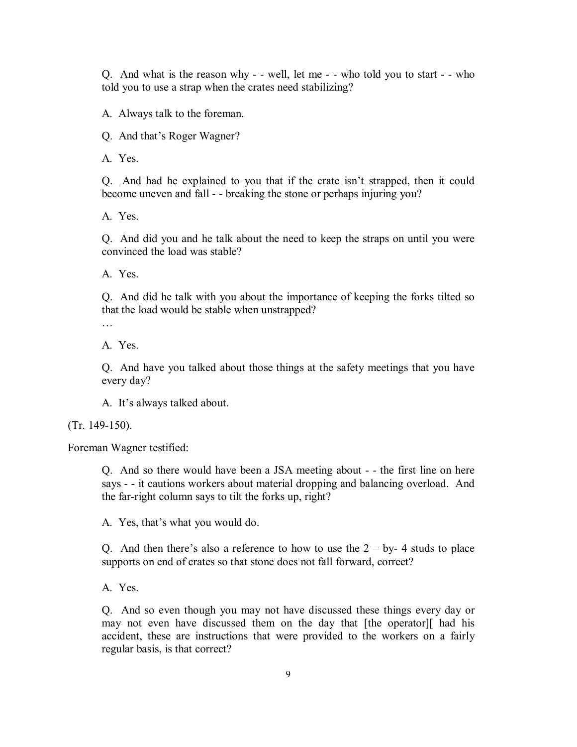Q. And what is the reason why - - well, let me - - who told you to start - - who told you to use a strap when the crates need stabilizing?

A. Always talk to the foreman.

Q. And that's Roger Wagner?

A. Yes.

Q. And had he explained to you that if the crate isn't strapped, then it could become uneven and fall - - breaking the stone or perhaps injuring you?

A. Yes.

Q. And did you and he talk about the need to keep the straps on until you were convinced the load was stable?

A. Yes.

Q. And did he talk with you about the importance of keeping the forks tilted so that the load would be stable when unstrapped?

…

A. Yes.

Q. And have you talked about those things at the safety meetings that you have every day?

A. It's always talked about.

(Tr. 149-150).

Foreman Wagner testified:

Q. And so there would have been a JSA meeting about - - the first line on here says - - it cautions workers about material dropping and balancing overload. And the far-right column says to tilt the forks up, right?

A. Yes, that's what you would do.

Q. And then there's also a reference to how to use the  $2 - by - 4$  studs to place supports on end of crates so that stone does not fall forward, correct?

A. Yes.

Q. And so even though you may not have discussed these things every day or may not even have discussed them on the day that [the operator][ had his accident, these are instructions that were provided to the workers on a fairly regular basis, is that correct?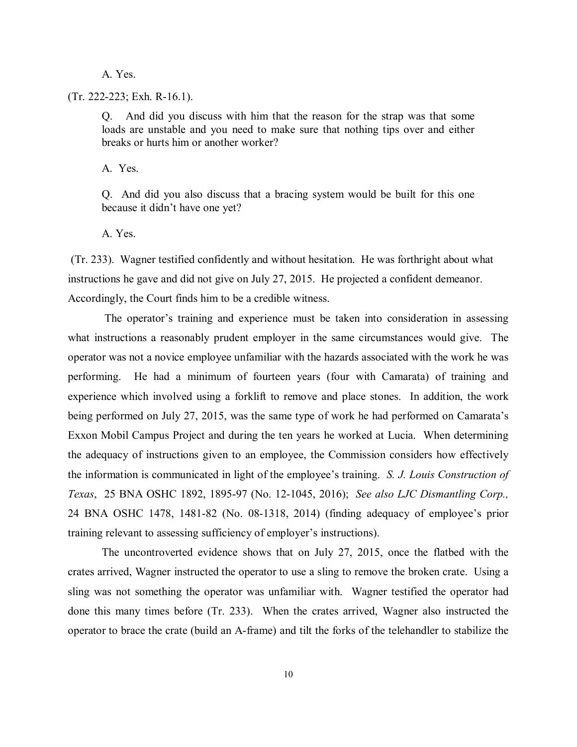A. Yes.

(Tr. 222-223; Exh. R-16.1).

Q. And did you discuss with him that the reason for the strap was that some loads are unstable and you need to make sure that nothing tips over and either breaks or hurts him or another worker?

A. Yes.

Q. And did you also discuss that a bracing system would be built for this one because it didn't have one yet?

A. Yes.

(Tr. 233). Wagner testified confidently and without hesitation. He was forthright about what instructions he gave and did not give on July 27, 2015. He projected a confident demeanor. Accordingly, the Court finds him to be a credible witness.

The operator's training and experience must be taken into consideration in assessing what instructions a reasonably prudent employer in the same circumstances would give. The operator was not a novice employee unfamiliar with the hazards associated with the work he was performing. He had a minimum of fourteen years (four with Camarata) of training and experience which involved using a forklift to remove and place stones. In addition, the work being performed on July 27, 2015, was the same type of work he had performed on Camarata's Exxon Mobil Campus Project and during the ten years he worked at Lucia. When determining the adequacy of instructions given to an employee, the Commission considers how effectively the information is communicated in light of the employee's training. *S. J. Louis Construction of Texas*, 25 BNA OSHC 1892, 1895-97 (No. 12-1045, 2016); *See also LJC Dismantling Corp.,* 24 BNA OSHC 1478, 1481-82 (No. 08-1318, 2014) (finding adequacy of employee's prior training relevant to assessing sufficiency of employer's instructions).

The uncontroverted evidence shows that on July 27, 2015, once the flatbed with the crates arrived, Wagner instructed the operator to use a sling to remove the broken crate. Using a sling was not something the operator was unfamiliar with. Wagner testified the operator had done this many times before (Tr. 233). When the crates arrived, Wagner also instructed the operator to brace the crate (build an A-frame) and tilt the forks of the telehandler to stabilize the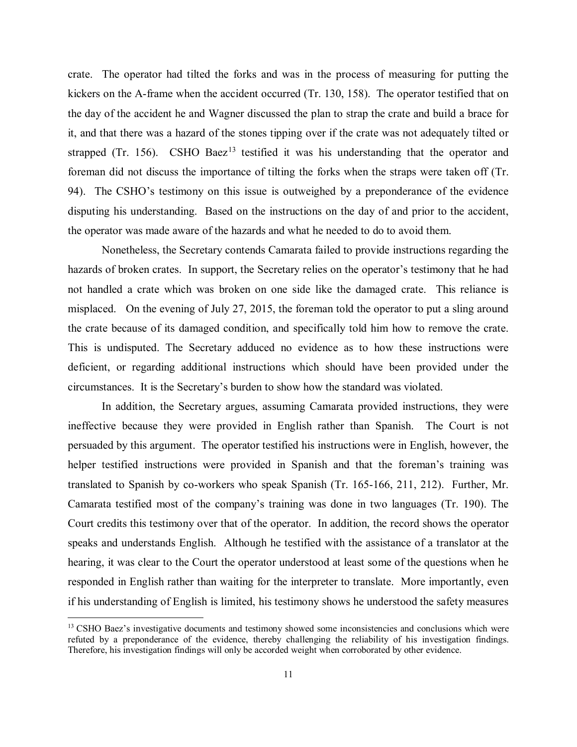crate. The operator had tilted the forks and was in the process of measuring for putting the kickers on the A-frame when the accident occurred (Tr. 130, 158). The operator testified that on the day of the accident he and Wagner discussed the plan to strap the crate and build a brace for it, and that there was a hazard of the stones tipping over if the crate was not adequately tilted or strapped (Tr. 156). CSHO Baez<sup>[13](#page-10-0)</sup> testified it was his understanding that the operator and foreman did not discuss the importance of tilting the forks when the straps were taken off (Tr. 94). The CSHO's testimony on this issue is outweighed by a preponderance of the evidence disputing his understanding. Based on the instructions on the day of and prior to the accident, the operator was made aware of the hazards and what he needed to do to avoid them.

Nonetheless, the Secretary contends Camarata failed to provide instructions regarding the hazards of broken crates. In support, the Secretary relies on the operator's testimony that he had not handled a crate which was broken on one side like the damaged crate. This reliance is misplaced. On the evening of July 27, 2015, the foreman told the operator to put a sling around the crate because of its damaged condition, and specifically told him how to remove the crate. This is undisputed. The Secretary adduced no evidence as to how these instructions were deficient, or regarding additional instructions which should have been provided under the circumstances. It is the Secretary's burden to show how the standard was violated.

In addition, the Secretary argues, assuming Camarata provided instructions, they were ineffective because they were provided in English rather than Spanish. The Court is not persuaded by this argument. The operator testified his instructions were in English, however, the helper testified instructions were provided in Spanish and that the foreman's training was translated to Spanish by co-workers who speak Spanish (Tr. 165-166, 211, 212). Further, Mr. Camarata testified most of the company's training was done in two languages (Tr. 190). The Court credits this testimony over that of the operator. In addition, the record shows the operator speaks and understands English. Although he testified with the assistance of a translator at the hearing, it was clear to the Court the operator understood at least some of the questions when he responded in English rather than waiting for the interpreter to translate. More importantly, even if his understanding of English is limited, his testimony shows he understood the safety measures

<span id="page-10-0"></span><sup>&</sup>lt;sup>13</sup> CSHO Baez's investigative documents and testimony showed some inconsistencies and conclusions which were refuted by a preponderance of the evidence, thereby challenging the reliability of his investigation findings. Therefore, his investigation findings will only be accorded weight when corroborated by other evidence.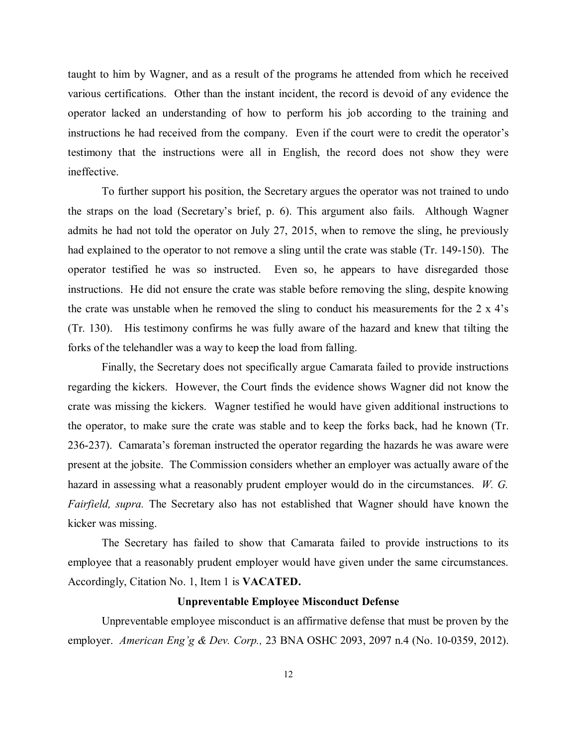taught to him by Wagner, and as a result of the programs he attended from which he received various certifications. Other than the instant incident, the record is devoid of any evidence the operator lacked an understanding of how to perform his job according to the training and instructions he had received from the company. Even if the court were to credit the operator's testimony that the instructions were all in English, the record does not show they were ineffective.

To further support his position, the Secretary argues the operator was not trained to undo the straps on the load (Secretary's brief, p. 6). This argument also fails. Although Wagner admits he had not told the operator on July 27, 2015, when to remove the sling, he previously had explained to the operator to not remove a sling until the crate was stable (Tr. 149-150). The operator testified he was so instructed. Even so, he appears to have disregarded those instructions. He did not ensure the crate was stable before removing the sling, despite knowing the crate was unstable when he removed the sling to conduct his measurements for the 2 x 4's (Tr. 130). His testimony confirms he was fully aware of the hazard and knew that tilting the forks of the telehandler was a way to keep the load from falling.

Finally, the Secretary does not specifically argue Camarata failed to provide instructions regarding the kickers. However, the Court finds the evidence shows Wagner did not know the crate was missing the kickers. Wagner testified he would have given additional instructions to the operator, to make sure the crate was stable and to keep the forks back, had he known (Tr. 236-237). Camarata's foreman instructed the operator regarding the hazards he was aware were present at the jobsite. The Commission considers whether an employer was actually aware of the hazard in assessing what a reasonably prudent employer would do in the circumstances. *W. G. Fairfield, supra.* The Secretary also has not established that Wagner should have known the kicker was missing.

The Secretary has failed to show that Camarata failed to provide instructions to its employee that a reasonably prudent employer would have given under the same circumstances. Accordingly, Citation No. 1, Item 1 is **VACATED.**

# **Unpreventable Employee Misconduct Defense**

Unpreventable employee misconduct is an affirmative defense that must be proven by the employer. *American Eng'g & Dev. Corp.,* 23 BNA OSHC 2093, 2097 n.4 (No. 10-0359, 2012).